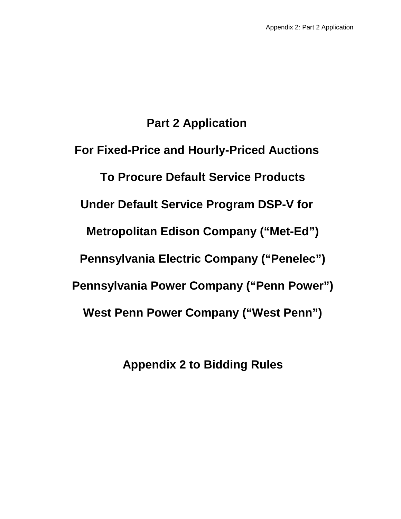# **Part 2 Application**

**For Fixed-Price and Hourly-Priced Auctions To Procure Default Service Products Under Default Service Program DSP-V for Metropolitan Edison Company ("Met-Ed") Pennsylvania Electric Company ("Penelec") Pennsylvania Power Company ("Penn Power") West Penn Power Company ("West Penn")**

**Appendix 2 to Bidding Rules**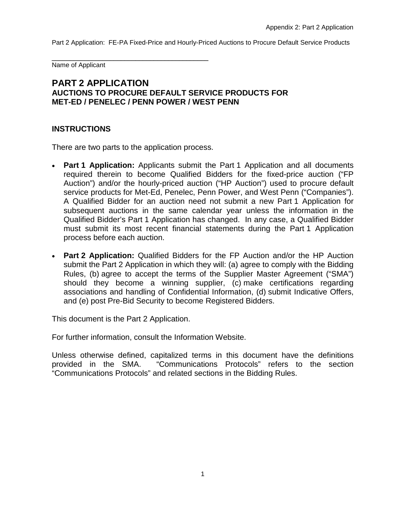Name of Applicant

#### **PART 2 APPLICATION AUCTIONS TO PROCURE DEFAULT SERVICE PRODUCTS FOR MET-ED / PENELEC / PENN POWER / WEST PENN**

#### **INSTRUCTIONS**

There are two parts to the application process.

\_\_\_\_\_\_\_\_\_\_\_\_\_\_\_\_\_\_\_\_\_\_\_\_\_\_\_\_\_\_\_\_\_\_\_\_\_\_\_\_\_\_\_

- **Part 1 Application:** Applicants submit the Part 1 Application and all documents required therein to become Qualified Bidders for the fixed-price auction ("FP Auction") and/or the hourly-priced auction ("HP Auction") used to procure default service products for Met-Ed, Penelec, Penn Power, and West Penn ("Companies"). A Qualified Bidder for an auction need not submit a new Part 1 Application for subsequent auctions in the same calendar year unless the information in the Qualified Bidder's Part 1 Application has changed. In any case, a Qualified Bidder must submit its most recent financial statements during the Part 1 Application process before each auction.
- **Part 2 Application:** Qualified Bidders for the FP Auction and/or the HP Auction submit the Part 2 Application in which they will: (a) agree to comply with the Bidding Rules, (b) agree to accept the terms of the Supplier Master Agreement ("SMA") should they become a winning supplier, (c) make certifications regarding associations and handling of Confidential Information, (d) submit Indicative Offers, and (e) post Pre-Bid Security to become Registered Bidders.

This document is the Part 2 Application.

For further information, consult the Information Website.

Unless otherwise defined, capitalized terms in this document have the definitions provided in the SMA. "Communications Protocols" refers to the section "Communications Protocols" and related sections in the Bidding Rules.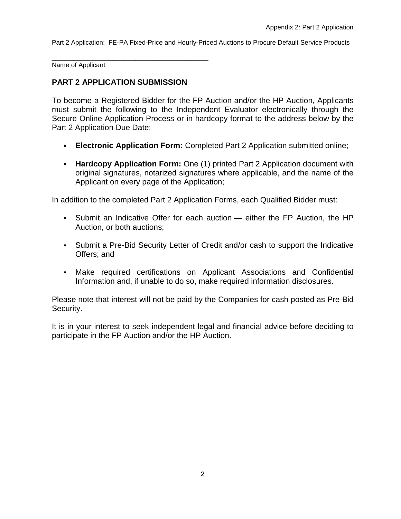\_\_\_\_\_\_\_\_\_\_\_\_\_\_\_\_\_\_\_\_\_\_\_\_\_\_\_\_\_\_\_\_\_\_\_\_\_\_\_\_\_\_\_ Name of Applicant

## **PART 2 APPLICATION SUBMISSION**

To become a Registered Bidder for the FP Auction and/or the HP Auction, Applicants must submit the following to the Independent Evaluator electronically through the Secure Online Application Process or in hardcopy format to the address below by the Part 2 Application Due Date:

- **Electronic Application Form:** Completed Part 2 Application submitted online;
- **Hardcopy Application Form:** One (1) printed Part 2 Application document with original signatures, notarized signatures where applicable, and the name of the Applicant on every page of the Application;

In addition to the completed Part 2 Application Forms, each Qualified Bidder must:

- Submit an Indicative Offer for each auction either the FP Auction, the HP Auction, or both auctions;
- Submit a Pre-Bid Security Letter of Credit and/or cash to support the Indicative Offers; and
- Make required certifications on Applicant Associations and Confidential Information and, if unable to do so, make required information disclosures.

Please note that interest will not be paid by the Companies for cash posted as Pre-Bid Security.

It is in your interest to seek independent legal and financial advice before deciding to participate in the FP Auction and/or the HP Auction.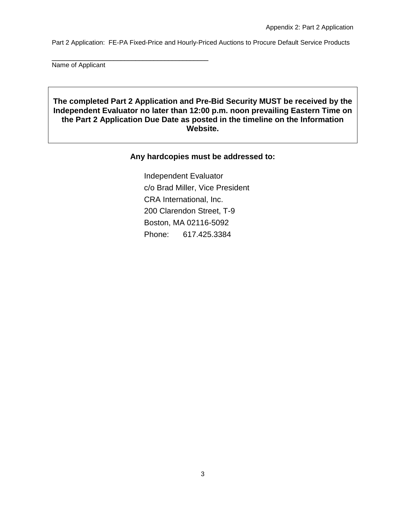Name of Applicant

\_\_\_\_\_\_\_\_\_\_\_\_\_\_\_\_\_\_\_\_\_\_\_\_\_\_\_\_\_\_\_\_\_\_\_\_\_\_\_\_\_\_\_

#### **The completed Part 2 Application and Pre-Bid Security MUST be received by the Independent Evaluator no later than 12:00 p.m. noon prevailing Eastern Time on the Part 2 Application Due Date as posted in the timeline on the Information Website.**

#### **Any hardcopies must be addressed to:**

Independent Evaluator c/o Brad Miller, Vice President CRA International, Inc. 200 Clarendon Street, T-9 Boston, MA 02116-5092 Phone: 617.425.3384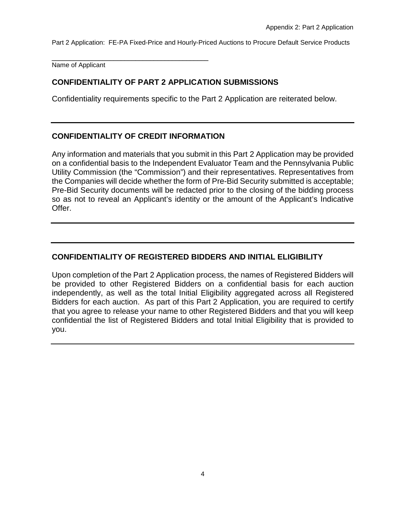\_\_\_\_\_\_\_\_\_\_\_\_\_\_\_\_\_\_\_\_\_\_\_\_\_\_\_\_\_\_\_\_\_\_\_\_\_\_\_\_\_\_\_ Name of Applicant

#### **CONFIDENTIALITY OF PART 2 APPLICATION SUBMISSIONS**

Confidentiality requirements specific to the Part 2 Application are reiterated below.

#### **CONFIDENTIALITY OF CREDIT INFORMATION**

Any information and materials that you submit in this Part 2 Application may be provided on a confidential basis to the Independent Evaluator Team and the Pennsylvania Public Utility Commission (the "Commission") and their representatives. Representatives from the Companies will decide whether the form of Pre-Bid Security submitted is acceptable; Pre-Bid Security documents will be redacted prior to the closing of the bidding process so as not to reveal an Applicant's identity or the amount of the Applicant's Indicative Offer.

## **CONFIDENTIALITY OF REGISTERED BIDDERS AND INITIAL ELIGIBILITY**

Upon completion of the Part 2 Application process, the names of Registered Bidders will be provided to other Registered Bidders on a confidential basis for each auction independently, as well as the total Initial Eligibility aggregated across all Registered Bidders for each auction. As part of this Part 2 Application, you are required to certify that you agree to release your name to other Registered Bidders and that you will keep confidential the list of Registered Bidders and total Initial Eligibility that is provided to you.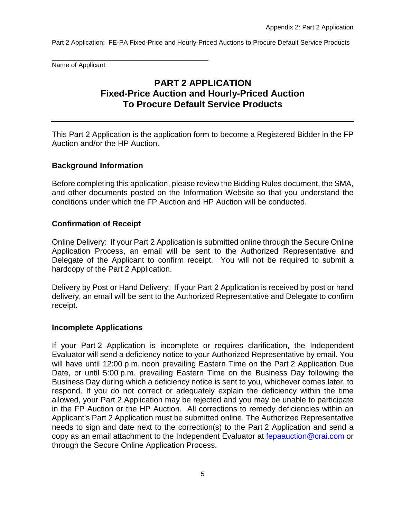\_\_\_\_\_\_\_\_\_\_\_\_\_\_\_\_\_\_\_\_\_\_\_\_\_\_\_\_\_\_\_\_\_\_\_\_\_\_\_\_\_\_\_ Name of Applicant

## **PART 2 APPLICATION Fixed-Price Auction and Hourly-Priced Auction To Procure Default Service Products**

This Part 2 Application is the application form to become a Registered Bidder in the FP Auction and/or the HP Auction.

#### **Background Information**

Before completing this application, please review the Bidding Rules document, the SMA, and other documents posted on the Information Website so that you understand the conditions under which the FP Auction and HP Auction will be conducted.

#### **Confirmation of Receipt**

Online Delivery:If your Part 2 Application is submitted online through the Secure Online Application Process, an email will be sent to the Authorized Representative and Delegate of the Applicant to confirm receipt. You will not be required to submit a hardcopy of the Part 2 Application.

Delivery by Post or Hand Delivery:If your Part 2 Application is received by post or hand delivery, an email will be sent to the Authorized Representative and Delegate to confirm receipt.

#### **Incomplete Applications**

If your Part 2 Application is incomplete or requires clarification, the Independent Evaluator will send a deficiency notice to your Authorized Representative by email. You will have until 12:00 p.m. noon prevailing Eastern Time on the Part 2 Application Due Date, or until 5:00 p.m. prevailing Eastern Time on the Business Day following the Business Day during which a deficiency notice is sent to you, whichever comes later, to respond. If you do not correct or adequately explain the deficiency within the time allowed, your Part 2 Application may be rejected and you may be unable to participate in the FP Auction or the HP Auction. All corrections to remedy deficiencies within an Applicant's Part 2 Application must be submitted online. The Authorized Representative needs to sign and date next to the correction(s) to the Part 2 Application and send a copy as an email attachment to the Independent Evaluator at [fepaauction@crai.com](mailto:fepaauction@crai.com) or through the Secure Online Application Process.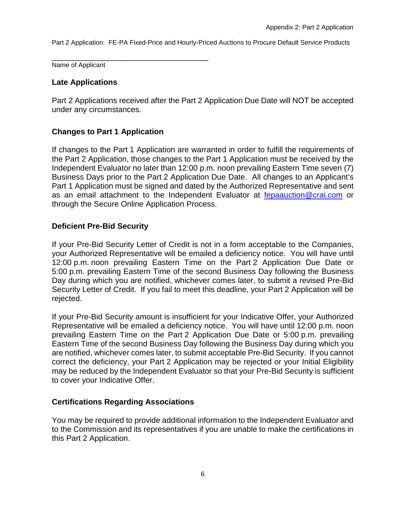\_\_\_\_\_\_\_\_\_\_\_\_\_\_\_\_\_\_\_\_\_\_\_\_\_\_\_\_\_\_\_\_\_\_\_\_\_\_\_\_\_\_\_ Name of Applicant

#### **Late Applications**

Part 2 Applications received after the Part 2 Application Due Date will NOT be accepted under any circumstances.

#### **Changes to Part 1 Application**

If changes to the Part 1 Application are warranted in order to fulfill the requirements of the Part 2 Application, those changes to the Part 1 Application must be received by the Independent Evaluator no later than 12:00 p.m. noon prevailing Eastern Time seven (7) Business Days prior to the Part 2 Application Due Date. All changes to an Applicant's Part 1 Application must be signed and dated by the Authorized Representative and sent as an email attachment to the Independent Evaluator at [fepaauction@crai.com](mailto:fepaauction@crai.com) or through the Secure Online Application Process.

#### **Deficient Pre-Bid Security**

If your Pre-Bid Security Letter of Credit is not in a form acceptable to the Companies, your Authorized Representative will be emailed a deficiency notice. You will have until 12:00 p.m. noon prevailing Eastern Time on the Part 2 Application Due Date or 5:00 p.m. prevailing Eastern Time of the second Business Day following the Business Day during which you are notified, whichever comes later, to submit a revised Pre-Bid Security Letter of Credit. If you fail to meet this deadline, your Part 2 Application will be rejected.

If your Pre-Bid Security amount is insufficient for your Indicative Offer, your Authorized Representative will be emailed a deficiency notice. You will have until 12:00 p.m. noon prevailing Eastern Time on the Part 2 Application Due Date or 5:00 p.m. prevailing Eastern Time of the second Business Day following the Business Day during which you are notified, whichever comes later, to submit acceptable Pre-Bid Security. If you cannot correct the deficiency, your Part 2 Application may be rejected or your Initial Eligibility may be reduced by the Independent Evaluator so that your Pre-Bid Security is sufficient to cover your Indicative Offer.

#### **Certifications Regarding Associations**

You may be required to provide additional information to the Independent Evaluator and to the Commission and its representatives if you are unable to make the certifications in this Part 2 Application.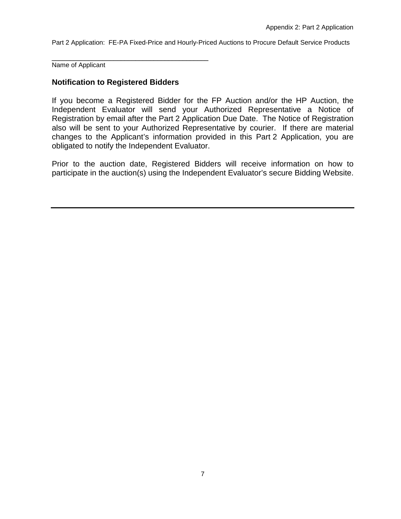\_\_\_\_\_\_\_\_\_\_\_\_\_\_\_\_\_\_\_\_\_\_\_\_\_\_\_\_\_\_\_\_\_\_\_\_\_\_\_\_\_\_\_ Name of Applicant

#### **Notification to Registered Bidders**

If you become a Registered Bidder for the FP Auction and/or the HP Auction, the Independent Evaluator will send your Authorized Representative a Notice of Registration by email after the Part 2 Application Due Date. The Notice of Registration also will be sent to your Authorized Representative by courier. If there are material changes to the Applicant's information provided in this Part 2 Application, you are obligated to notify the Independent Evaluator.

Prior to the auction date, Registered Bidders will receive information on how to participate in the auction(s) using the Independent Evaluator's secure Bidding Website.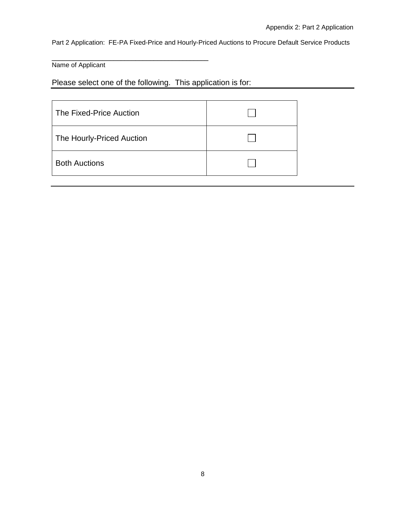\_\_\_\_\_\_\_\_\_\_\_\_\_\_\_\_\_\_\_\_\_\_\_\_\_\_\_\_\_\_\_\_\_\_\_\_\_\_\_\_\_\_\_ Name of Applicant

Please select one of the following. This application is for:

| The Fixed-Price Auction   |  |
|---------------------------|--|
| The Hourly-Priced Auction |  |
| <b>Both Auctions</b>      |  |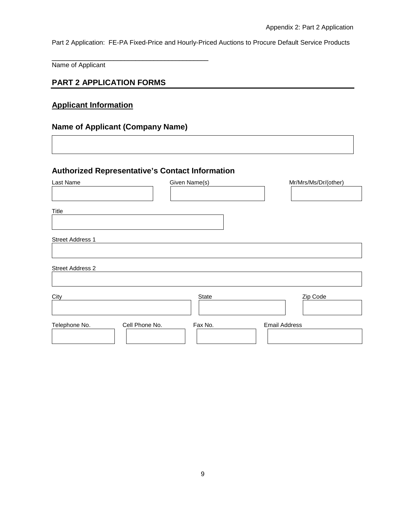#### Name of Applicant

#### **PART 2 APPLICATION FORMS**

#### **Applicant Information**

## **Name of Applicant (Company Name)**

\_\_\_\_\_\_\_\_\_\_\_\_\_\_\_\_\_\_\_\_\_\_\_\_\_\_\_\_\_\_\_\_\_\_\_\_\_\_\_\_\_\_\_

## **Authorized Representative's Contact Information**

| Last Name                       | Given Name(s) | Mr/Mrs/Ms/Dr/(other) |
|---------------------------------|---------------|----------------------|
| Title                           |               |                      |
| Street Address 1                |               |                      |
| Street Address 2                |               |                      |
| City                            | State         | Zip Code             |
| Cell Phone No.<br>Telephone No. | Fax No.       | <b>Email Address</b> |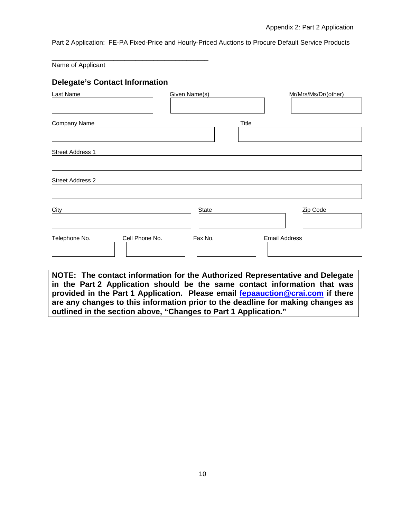#### Name of Applicant

#### **Delegate's Contact Information**

\_\_\_\_\_\_\_\_\_\_\_\_\_\_\_\_\_\_\_\_\_\_\_\_\_\_\_\_\_\_\_\_\_\_\_\_\_\_\_\_\_\_\_

| Last Name                       | Given Name(s) | Mr/Mrs/Ms/Dr/(other) |
|---------------------------------|---------------|----------------------|
| <b>Company Name</b>             |               | Title                |
| Street Address 1                |               |                      |
| Street Address 2                |               |                      |
| City                            | State         | Zip Code             |
| Cell Phone No.<br>Telephone No. | Fax No.       | <b>Email Address</b> |

**NOTE: The contact information for the Authorized Representative and Delegate in the Part 2 Application should be the same contact information that was provided in the Part 1 Application. Please email [fepaauction@crai.com](mailto:fepaauction@crai.com) if there are any changes to this information prior to the deadline for making changes as outlined in the section above, "Changes to Part 1 Application."**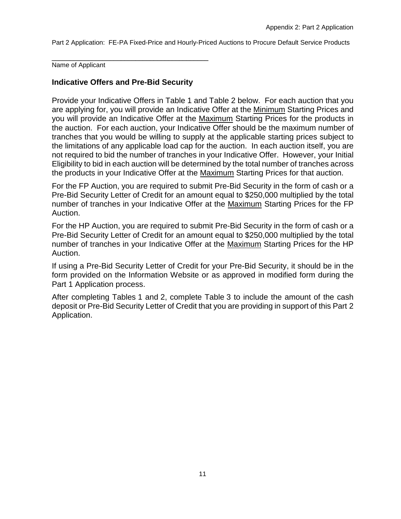\_\_\_\_\_\_\_\_\_\_\_\_\_\_\_\_\_\_\_\_\_\_\_\_\_\_\_\_\_\_\_\_\_\_\_\_\_\_\_\_\_\_\_ Name of Applicant

#### **Indicative Offers and Pre-Bid Security**

Provide your Indicative Offers in Table 1 and Table 2 below. For each auction that you are applying for, you will provide an Indicative Offer at the Minimum Starting Prices and you will provide an Indicative Offer at the Maximum Starting Prices for the products in the auction. For each auction, your Indicative Offer should be the maximum number of tranches that you would be willing to supply at the applicable starting prices subject to the limitations of any applicable load cap for the auction. In each auction itself, you are not required to bid the number of tranches in your Indicative Offer. However, your Initial Eligibility to bid in each auction will be determined by the total number of tranches across the products in your Indicative Offer at the Maximum Starting Prices for that auction.

For the FP Auction, you are required to submit Pre-Bid Security in the form of cash or a Pre-Bid Security Letter of Credit for an amount equal to \$250,000 multiplied by the total number of tranches in your Indicative Offer at the Maximum Starting Prices for the FP Auction.

For the HP Auction, you are required to submit Pre-Bid Security in the form of cash or a Pre-Bid Security Letter of Credit for an amount equal to \$250,000 multiplied by the total number of tranches in your Indicative Offer at the Maximum Starting Prices for the HP Auction.

If using a Pre-Bid Security Letter of Credit for your Pre-Bid Security, it should be in the form provided on the Information Website or as approved in modified form during the Part 1 Application process.

After completing Tables 1 and 2, complete Table 3 to include the amount of the cash deposit or Pre-Bid Security Letter of Credit that you are providing in support of this Part 2 Application.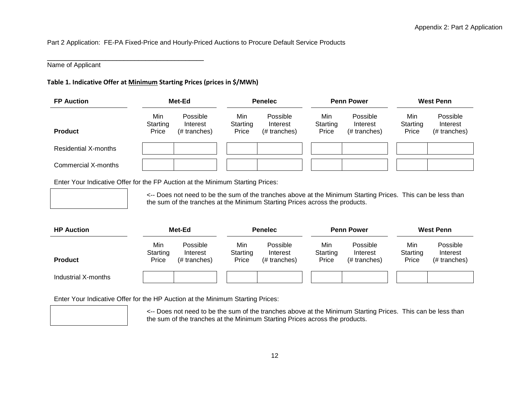#### Name of Applicant

#### **Table 1. Indicative Offer at Minimum Starting Prices (prices in \$/MWh)**

 $\overline{a}$ 

| <b>FP Auction</b>    | Met-Ed                   |                                      | <b>Penelec</b>           |                                      |                          | <b>Penn Power</b>                    | <b>West Penn</b>         |                                      |  |
|----------------------|--------------------------|--------------------------------------|--------------------------|--------------------------------------|--------------------------|--------------------------------------|--------------------------|--------------------------------------|--|
| <b>Product</b>       | Min<br>Starting<br>Price | Possible<br>Interest<br>(# tranches) | Min<br>Starting<br>Price | Possible<br>Interest<br>(# tranches) | Min<br>Starting<br>Price | Possible<br>Interest<br>(# tranches) | Min<br>Starting<br>Price | Possible<br>Interest<br>(# tranches) |  |
| Residential X-months |                          |                                      |                          |                                      |                          |                                      |                          |                                      |  |
| Commercial X-months  |                          |                                      |                          |                                      |                          |                                      |                          |                                      |  |

Enter Your Indicative Offer for the FP Auction at the Minimum Starting Prices:

| <-- Does |
|----------|
| the sum  |

not need to be the sum of the tranches above at the Minimum Starting Prices. This can be less than of the tranches at the Minimum Starting Prices across the products.

| <b>HP Auction</b>   | Met-Ed                   |                                      | <b>Penelec</b>           |                                      | <b>Penn Power</b>        |                                      |  | <b>West Penn</b>         |                                      |  |
|---------------------|--------------------------|--------------------------------------|--------------------------|--------------------------------------|--------------------------|--------------------------------------|--|--------------------------|--------------------------------------|--|
| <b>Product</b>      | Min<br>Starting<br>Price | Possible<br>Interest<br>(# tranches) | Min<br>Starting<br>Price | Possible<br>Interest<br>(# tranches) | Min<br>Starting<br>Price | Possible<br>Interest<br>(# tranches) |  | Min<br>Starting<br>Price | Possible<br>Interest<br>(# tranches) |  |
| Industrial X-months |                          |                                      |                          |                                      |                          |                                      |  |                          |                                      |  |

Enter Your Indicative Offer for the HP Auction at the Minimum Starting Prices:

<-- Does not need to be the sum of the tranches above at the Minimum Starting Prices. This can be less than the sum of the tranches at the Minimum Starting Prices across the products.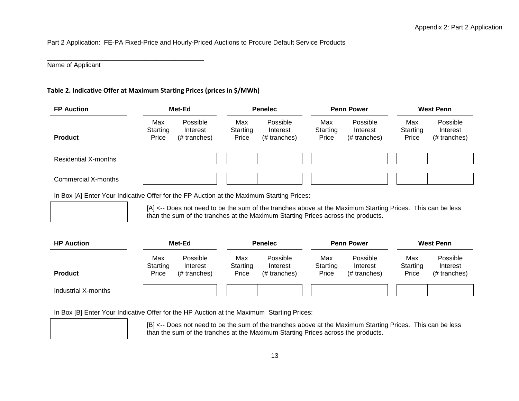Name of Applicant

#### **Table 2. Indicative Offer at Maximum Starting Prices (prices in \$/MWh)**

 $\overline{a}$ 

| <b>FP Auction</b><br>Met-Ed |                          | <b>Penelec</b>                       |                          |                                      | <b>Penn Power</b>        | <b>West Penn</b>                     |                          |                                      |
|-----------------------------|--------------------------|--------------------------------------|--------------------------|--------------------------------------|--------------------------|--------------------------------------|--------------------------|--------------------------------------|
| <b>Product</b>              | Max<br>Starting<br>Price | Possible<br>Interest<br>(# tranches) | Max<br>Starting<br>Price | Possible<br>Interest<br>(# tranches) | Max<br>Starting<br>Price | Possible<br>Interest<br>(# tranches) | Max<br>Starting<br>Price | Possible<br>Interest<br>(# tranches) |
| Residential X-months        |                          |                                      |                          |                                      |                          |                                      |                          |                                      |
| Commercial X-months         |                          |                                      |                          |                                      |                          |                                      |                          |                                      |

In Box [A] Enter Your Indicative Offer for the FP Auction at the Maximum Starting Prices:

[A] <-- Does not need to be the sum of the tranches above at the Maximum Starting Prices. This can be less than the sum of the tranches at the Maximum Starting Prices across the products.

| <b>HP Auction</b>   | Met-Ed                   |                                      | <b>Penelec</b>           |                                      |                          | <b>Penn Power</b>                    | <b>West Penn</b>         |                                      |  |
|---------------------|--------------------------|--------------------------------------|--------------------------|--------------------------------------|--------------------------|--------------------------------------|--------------------------|--------------------------------------|--|
| <b>Product</b>      | Max<br>Starting<br>Price | Possible<br>Interest<br>(# tranches) | Max<br>Starting<br>Price | Possible<br>Interest<br>(# tranches) | Max<br>Starting<br>Price | Possible<br>Interest<br>(# tranches) | Max<br>Starting<br>Price | Possible<br>Interest<br>(# tranches) |  |
| Industrial X-months |                          |                                      |                          |                                      |                          |                                      |                          |                                      |  |

In Box [B] Enter Your Indicative Offer for the HP Auction at the Maximum Starting Prices:



[B] <-- Does not need to be the sum of the tranches above at the Maximum Starting Prices. This can be less than the sum of the tranches at the Maximum Starting Prices across the products.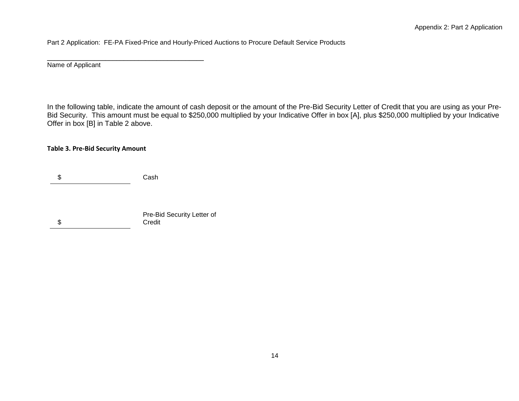Name of Applicant

In the following table, indicate the amount of cash deposit or the amount of the Pre-Bid Security Letter of Credit that you are using as your Pre-Bid Security. This amount must be equal to \$250,000 multiplied by your Indicative Offer in box [A], plus \$250,000 multiplied by your Indicative Offer in box [B] in Table 2 above.

#### **Table 3. Pre-Bid Security Amount**

\$ Cash

\$ Pre-Bid Security Letter of Credit

 $\overline{a}$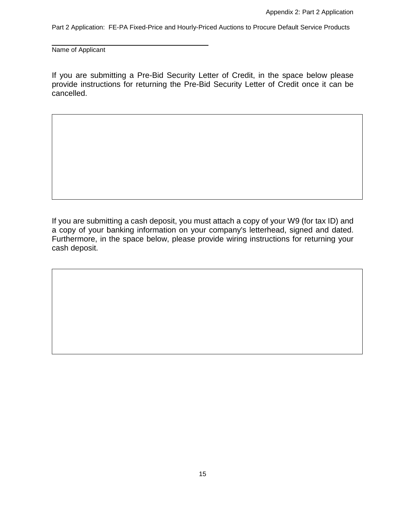\_\_\_\_\_\_\_\_\_\_\_\_\_\_\_\_\_\_\_\_\_\_\_\_\_\_\_\_\_\_\_\_\_\_\_\_\_\_\_\_\_\_\_ Name of Applicant

If you are submitting a Pre-Bid Security Letter of Credit, in the space below please provide instructions for returning the Pre-Bid Security Letter of Credit once it can be cancelled.

If you are submitting a cash deposit, you must attach a copy of your W9 (for tax ID) and a copy of your banking information on your company's letterhead, signed and dated. Furthermore, in the space below, please provide wiring instructions for returning your cash deposit.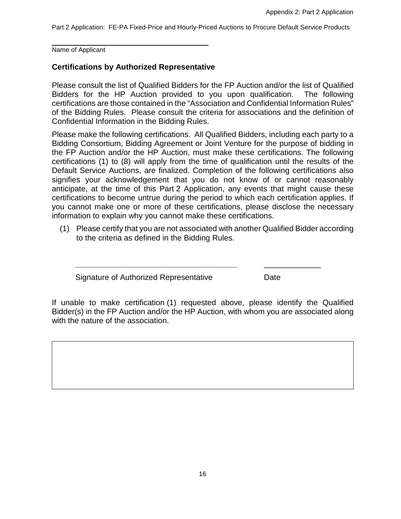\_\_\_\_\_\_\_\_\_\_\_\_\_\_\_\_\_\_\_\_\_\_\_\_\_\_\_\_\_\_\_\_\_\_\_\_\_\_\_\_\_\_\_ Name of Applicant

#### **Certifications by Authorized Representative**

Please consult the list of Qualified Bidders for the FP Auction and/or the list of Qualified Bidders for the HP Auction provided to you upon qualification. The following certifications are those contained in the "Association and Confidential Information Rules" of the Bidding Rules. Please consult the criteria for associations and the definition of Confidential Information in the Bidding Rules.

Please make the following certifications. All Qualified Bidders, including each party to a Bidding Consortium, Bidding Agreement or Joint Venture for the purpose of bidding in the FP Auction and/or the HP Auction, must make these certifications. The following certifications (1) to (8) will apply from the time of qualification until the results of the Default Service Auctions, are finalized. Completion of the following certifications also signifies your acknowledgement that you do not know of or cannot reasonably anticipate, at the time of this Part 2 Application, any events that might cause these certifications to become untrue during the period to which each certification applies. If you cannot make one or more of these certifications, please disclose the necessary information to explain why you cannot make these certifications.

(1) Please certify that you are not associated with another Qualified Bidder according to the criteria as defined in the Bidding Rules.

Signature of Authorized Representative **Date** 

If unable to make certification (1) requested above, please identify the Qualified Bidder(s) in the FP Auction and/or the HP Auction, with whom you are associated along with the nature of the association.

**\_\_\_\_\_\_\_\_\_\_\_\_\_\_\_\_\_\_\_\_\_\_\_\_\_\_\_\_\_\_\_\_\_\_\_\_\_** \_\_\_\_\_\_\_\_\_\_\_\_\_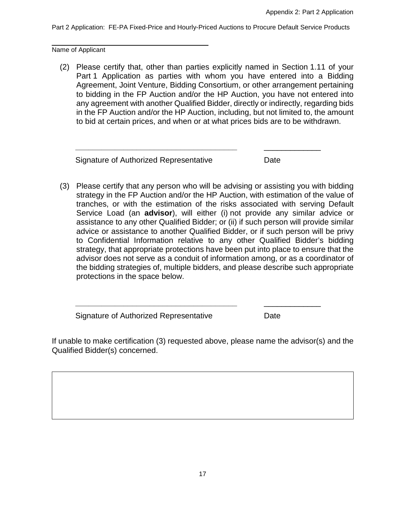\_\_\_\_\_\_\_\_\_\_\_\_\_\_\_\_\_\_\_\_\_\_\_\_\_\_\_\_\_\_\_\_\_\_\_\_\_\_\_\_\_\_\_ Name of Applicant

(2) Please certify that, other than parties explicitly named in Section 1.11 of your Part 1 Application as parties with whom you have entered into a Bidding Agreement, Joint Venture, Bidding Consortium, or other arrangement pertaining to bidding in the FP Auction and/or the HP Auction, you have not entered into any agreement with another Qualified Bidder, directly or indirectly, regarding bids in the FP Auction and/or the HP Auction, including, but not limited to, the amount to bid at certain prices, and when or at what prices bids are to be withdrawn.

**\_\_\_\_\_\_\_\_\_\_\_\_\_\_\_\_\_\_\_\_\_\_\_\_\_\_\_\_\_\_\_\_\_\_\_\_\_** \_\_\_\_\_\_\_\_\_\_\_\_\_

Signature of Authorized Representative **Date** 

(3) Please certify that any person who will be advising or assisting you with bidding strategy in the FP Auction and/or the HP Auction, with estimation of the value of tranches, or with the estimation of the risks associated with serving Default Service Load (an **advisor**), will either (i) not provide any similar advice or assistance to any other Qualified Bidder; or (ii) if such person will provide similar advice or assistance to another Qualified Bidder, or if such person will be privy to Confidential Information relative to any other Qualified Bidder's bidding strategy, that appropriate protections have been put into place to ensure that the advisor does not serve as a conduit of information among, or as a coordinator of the bidding strategies of, multiple bidders, and please describe such appropriate protections in the space below.

Signature of Authorized Representative **Date** 

If unable to make certification (3) requested above, please name the advisor(s) and the Qualified Bidder(s) concerned.

**\_\_\_\_\_\_\_\_\_\_\_\_\_\_\_\_\_\_\_\_\_\_\_\_\_\_\_\_\_\_\_\_\_\_\_\_\_** \_\_\_\_\_\_\_\_\_\_\_\_\_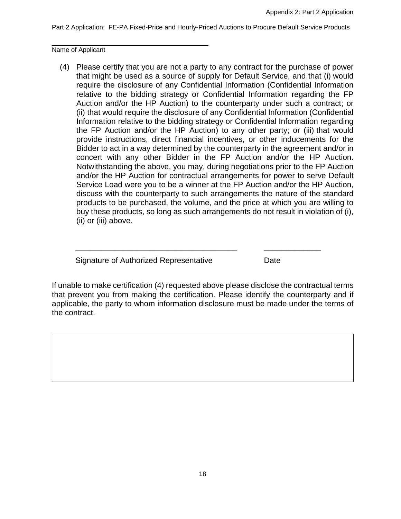\_\_\_\_\_\_\_\_\_\_\_\_\_\_\_\_\_\_\_\_\_\_\_\_\_\_\_\_\_\_\_\_\_\_\_\_\_\_\_\_\_\_\_ Name of Applicant

(4) Please certify that you are not a party to any contract for the purchase of power that might be used as a source of supply for Default Service, and that (i) would require the disclosure of any Confidential Information (Confidential Information relative to the bidding strategy or Confidential Information regarding the FP Auction and/or the HP Auction) to the counterparty under such a contract; or (ii) that would require the disclosure of any Confidential Information (Confidential Information relative to the bidding strategy or Confidential Information regarding the FP Auction and/or the HP Auction) to any other party; or (iii) that would provide instructions, direct financial incentives, or other inducements for the Bidder to act in a way determined by the counterparty in the agreement and/or in concert with any other Bidder in the FP Auction and/or the HP Auction. Notwithstanding the above, you may, during negotiations prior to the FP Auction and/or the HP Auction for contractual arrangements for power to serve Default Service Load were you to be a winner at the FP Auction and/or the HP Auction, discuss with the counterparty to such arrangements the nature of the standard products to be purchased, the volume, and the price at which you are willing to buy these products, so long as such arrangements do not result in violation of (i), (ii) or (iii) above.

Signature of Authorized Representative **Date** 

If unable to make certification (4) requested above please disclose the contractual terms that prevent you from making the certification. Please identify the counterparty and if applicable, the party to whom information disclosure must be made under the terms of the contract.

**\_\_\_\_\_\_\_\_\_\_\_\_\_\_\_\_\_\_\_\_\_\_\_\_\_\_\_\_\_\_\_\_\_\_\_\_\_** \_\_\_\_\_\_\_\_\_\_\_\_\_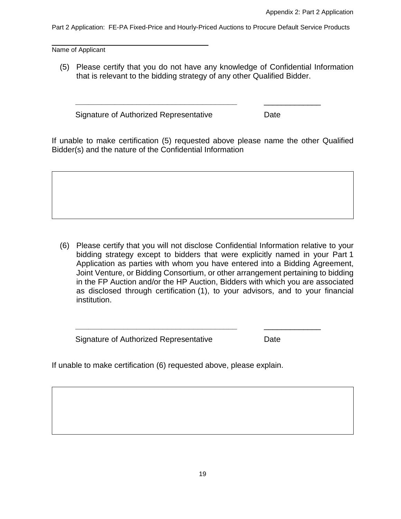\_\_\_\_\_\_\_\_\_\_\_\_\_\_\_\_\_\_\_\_\_\_\_\_\_\_\_\_\_\_\_\_\_\_\_\_\_\_\_\_\_\_\_ Name of Applicant

(5) Please certify that you do not have any knowledge of Confidential Information that is relevant to the bidding strategy of any other Qualified Bidder.

Signature of Authorized Representative **Date** 

If unable to make certification (5) requested above please name the other Qualified Bidder(s) and the nature of the Confidential Information

**\_\_\_\_\_\_\_\_\_\_\_\_\_\_\_\_\_\_\_\_\_\_\_\_\_\_\_\_\_\_\_\_\_\_\_\_\_** \_\_\_\_\_\_\_\_\_\_\_\_\_

(6) Please certify that you will not disclose Confidential Information relative to your bidding strategy except to bidders that were explicitly named in your Part 1 Application as parties with whom you have entered into a Bidding Agreement, Joint Venture, or Bidding Consortium, or other arrangement pertaining to bidding in the FP Auction and/or the HP Auction, Bidders with which you are associated as disclosed through certification (1), to your advisors, and to your financial institution.

**\_\_\_\_\_\_\_\_\_\_\_\_\_\_\_\_\_\_\_\_\_\_\_\_\_\_\_\_\_\_\_\_\_\_\_\_\_** \_\_\_\_\_\_\_\_\_\_\_\_\_

Signature of Authorized Representative **Date** 

If unable to make certification (6) requested above, please explain.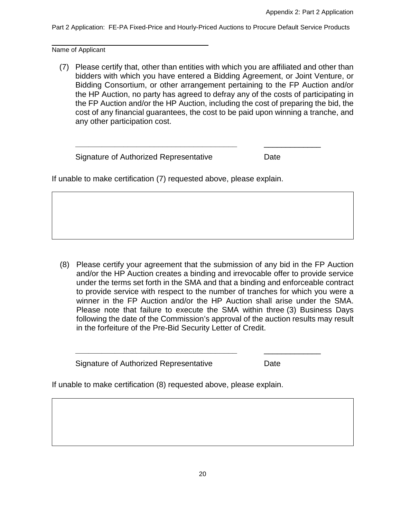\_\_\_\_\_\_\_\_\_\_\_\_\_\_\_\_\_\_\_\_\_\_\_\_\_\_\_\_\_\_\_\_\_\_\_\_\_\_\_\_\_\_\_ Name of Applicant

(7) Please certify that, other than entities with which you are affiliated and other than bidders with which you have entered a Bidding Agreement, or Joint Venture, or Bidding Consortium, or other arrangement pertaining to the FP Auction and/or the HP Auction, no party has agreed to defray any of the costs of participating in the FP Auction and/or the HP Auction, including the cost of preparing the bid, the cost of any financial guarantees, the cost to be paid upon winning a tranche, and any other participation cost.

**\_\_\_\_\_\_\_\_\_\_\_\_\_\_\_\_\_\_\_\_\_\_\_\_\_\_\_\_\_\_\_\_\_\_\_\_\_** \_\_\_\_\_\_\_\_\_\_\_\_\_

Signature of Authorized Representative Date

If unable to make certification (7) requested above, please explain.

(8) Please certify your agreement that the submission of any bid in the FP Auction and/or the HP Auction creates a binding and irrevocable offer to provide service under the terms set forth in the SMA and that a binding and enforceable contract to provide service with respect to the number of tranches for which you were a winner in the FP Auction and/or the HP Auction shall arise under the SMA. Please note that failure to execute the SMA within three (3) Business Days following the date of the Commission's approval of the auction results may result in the forfeiture of the Pre-Bid Security Letter of Credit.

**\_\_\_\_\_\_\_\_\_\_\_\_\_\_\_\_\_\_\_\_\_\_\_\_\_\_\_\_\_\_\_\_\_\_\_\_\_** \_\_\_\_\_\_\_\_\_\_\_\_\_

Signature of Authorized Representative **Date** 

If unable to make certification (8) requested above, please explain.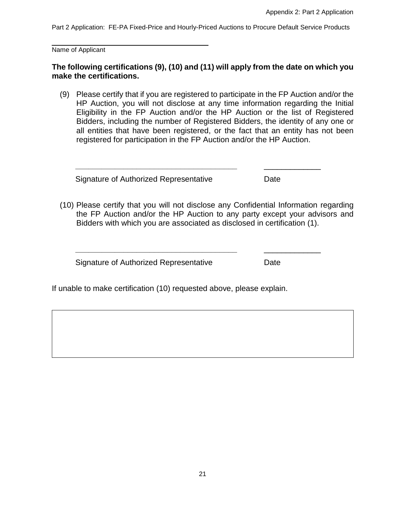Name of Applicant

#### **The following certifications (9), (10) and (11) will apply from the date on which you make the certifications.**

(9) Please certify that if you are registered to participate in the FP Auction and/or the HP Auction, you will not disclose at any time information regarding the Initial Eligibility in the FP Auction and/or the HP Auction or the list of Registered Bidders, including the number of Registered Bidders, the identity of any one or all entities that have been registered, or the fact that an entity has not been registered for participation in the FP Auction and/or the HP Auction.

Signature of Authorized Representative Date

\_\_\_\_\_\_\_\_\_\_\_\_\_\_\_\_\_\_\_\_\_\_\_\_\_\_\_\_\_\_\_\_\_\_\_\_\_\_\_\_\_\_\_

(10) Please certify that you will not disclose any Confidential Information regarding the FP Auction and/or the HP Auction to any party except your advisors and Bidders with which you are associated as disclosed in certification (1).

**\_\_\_\_\_\_\_\_\_\_\_\_\_\_\_\_\_\_\_\_\_\_\_\_\_\_\_\_\_\_\_\_\_\_\_\_\_** \_\_\_\_\_\_\_\_\_\_\_\_\_

**\_\_\_\_\_\_\_\_\_\_\_\_\_\_\_\_\_\_\_\_\_\_\_\_\_\_\_\_\_\_\_\_\_\_\_\_\_** \_\_\_\_\_\_\_\_\_\_\_\_\_

Signature of Authorized Representative **Date** 

If unable to make certification (10) requested above, please explain.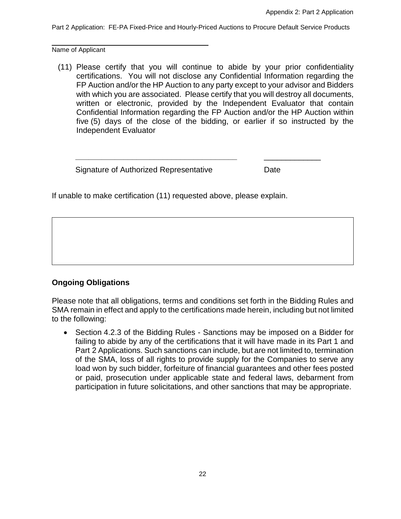\_\_\_\_\_\_\_\_\_\_\_\_\_\_\_\_\_\_\_\_\_\_\_\_\_\_\_\_\_\_\_\_\_\_\_\_\_\_\_\_\_\_\_ Name of Applicant

(11) Please certify that you will continue to abide by your prior confidentiality certifications. You will not disclose any Confidential Information regarding the FP Auction and/or the HP Auction to any party except to your advisor and Bidders with which you are associated. Please certify that you will destroy all documents, written or electronic, provided by the Independent Evaluator that contain Confidential Information regarding the FP Auction and/or the HP Auction within five (5) days of the close of the bidding, or earlier if so instructed by the Independent Evaluator

**\_\_\_\_\_\_\_\_\_\_\_\_\_\_\_\_\_\_\_\_\_\_\_\_\_\_\_\_\_\_\_\_\_\_\_\_\_** \_\_\_\_\_\_\_\_\_\_\_\_\_

Signature of Authorized Representative **Date** 

If unable to make certification (11) requested above, please explain.

#### **Ongoing Obligations**

Please note that all obligations, terms and conditions set forth in the Bidding Rules and SMA remain in effect and apply to the certifications made herein, including but not limited to the following:

• Section 4.2.3 of the Bidding Rules - Sanctions may be imposed on a Bidder for failing to abide by any of the certifications that it will have made in its Part 1 and Part 2 Applications. Such sanctions can include, but are not limited to, termination of the SMA, loss of all rights to provide supply for the Companies to serve any load won by such bidder, forfeiture of financial guarantees and other fees posted or paid, prosecution under applicable state and federal laws, debarment from participation in future solicitations, and other sanctions that may be appropriate.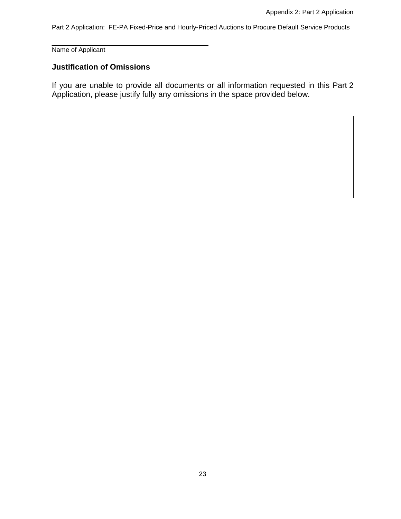\_\_\_\_\_\_\_\_\_\_\_\_\_\_\_\_\_\_\_\_\_\_\_\_\_\_\_\_\_\_\_\_\_\_\_\_\_\_\_\_\_\_\_ Name of Applicant

## **Justification of Omissions**

If you are unable to provide all documents or all information requested in this Part 2 Application, please justify fully any omissions in the space provided below.